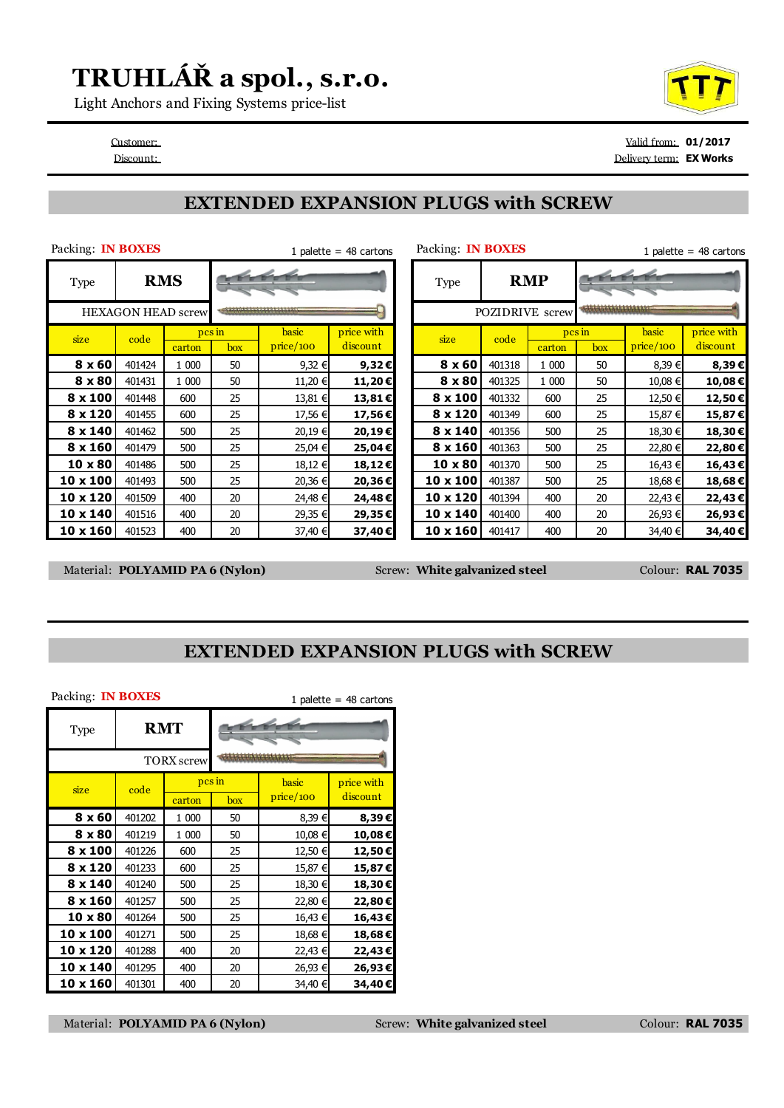## **TRUHLÁŘ a spol., s.r.o.**

Light Anchors and Fixing Systems price-list

Customer: Valid from: **01/2017** Discount: Delivery term: **EX Works**

#### **EXTENDED EXPANSION PLUGS with SCREW**

| Packing: <b>IN BOXES</b>  |                          |        |              |           | 1 palette = $48$ cartons | Packing: <b>IN BOXES</b> |            |                        |        |           | 1 palette = $48$ cartons |  |  |
|---------------------------|--------------------------|--------|--------------|-----------|--------------------------|--------------------------|------------|------------------------|--------|-----------|--------------------------|--|--|
| Type                      | $\epsilon$<br><b>RMS</b> |        |              |           |                          | Type                     | <b>RMP</b> |                        |        |           |                          |  |  |
| <b>HEXAGON HEAD screw</b> |                          |        |              |           |                          |                          |            | <b>POZIDRIVE</b> screw |        |           |                          |  |  |
| size                      | code                     |        | $\n  pcs$ in | basic     | price with               | size                     | code       |                        | pcs in | basic     | price with               |  |  |
|                           |                          | carton | box          | price/100 | discount                 |                          |            | carton                 | box    | price/100 | discount                 |  |  |
| $8 \times 60$             | 401424                   | 1 000  | 50           | 9,32 €    | $9,32 \in$               | 8 x 60                   | 401318     | 1 000                  | 50     | 8,39€     | 8,39€                    |  |  |
| 8 x 80                    | 401431                   | 1 000  | 50           | 11,20 €   | 11,20€                   | 8 x 80                   | 401325     | 1 000                  | 50     | 10,08 €   | 10,08€                   |  |  |
| 8 x 100                   | 401448                   | 600    | 25           | 13,81 €   | 13,81€                   | 8 x 100                  | 401332     | 600                    | 25     | 12,50 €   | 12,50€                   |  |  |
| 8 x 120                   | 401455                   | 600    | 25           | 17,56 €   | 17,56€                   | 8 x 120                  | 401349     | 600                    | 25     | 15,87 €   | 15,87€                   |  |  |
| 8 x 140                   | 401462                   | 500    | 25           | 20,19 €   | 20,19€                   | 8 x 140                  | 401356     | 500                    | 25     | 18,30 €   | 18,30€                   |  |  |
| $8 \times 160$            | 401479                   | 500    | 25           | 25,04 €   | 25,04€                   | 8 x 160                  | 401363     | 500                    | 25     | 22,80 €   | 22,80€                   |  |  |
| 10 x 80                   | 401486                   | 500    | 25           | 18,12 €   | 18,12€                   | $10 \times 80$           | 401370     | 500                    | 25     | 16,43 €   | 16,43€                   |  |  |
| 10 x 100                  | 401493                   | 500    | 25           | 20,36 €   | 20,36€                   | 10 x 100                 | 401387     | 500                    | 25     | 18,68 €   | 18,68€                   |  |  |
| 10 x 120                  | 401509                   | 400    | 20           | 24,48 €   | 24,48€                   | $10 \times 120$          | 401394     | 400                    | 20     | 22,43 €   | 22,43€                   |  |  |
| 10 x 140                  | 401516                   | 400    | 20           | 29,35 €   | 29,35€                   | 10 x 140                 | 401400     | 400                    | 20     | 26,93 €   | 26,93€                   |  |  |
| $10 \times 160$           | 401523                   | 400    | 20           | 37,40 €   | 37,40€                   | $10 \times 160$          | 401417     | 400                    | 20     | 34,40 €   | 34,40€                   |  |  |

Material: **POLYAMID PA 6 (Nylon)** Screw: **White galvanized steel** Colour: **RAL 7035** 

#### **EXTENDED EXPANSION PLUGS with SCREW**

| Packing: IN BOXES<br>1 palette = $48$ cartons |            |                   |     |           |            |  |  |  |  |
|-----------------------------------------------|------------|-------------------|-----|-----------|------------|--|--|--|--|
| Type                                          | <b>RMT</b> |                   |     |           |            |  |  |  |  |
|                                               |            | <b>TORX</b> screw |     |           |            |  |  |  |  |
| size                                          | code       | pcs in            |     | basic     | price with |  |  |  |  |
|                                               |            | carton            | box | price/100 | discount   |  |  |  |  |
| $8 \times 60$                                 | 401202     | 1 000             | 50  | 8,39€     | 8,39€      |  |  |  |  |
| $8 \times 80$                                 | 401219     | 1 000             | 50  | 10,08 €   | 10,08€     |  |  |  |  |
| $8 \times 100$                                | 401226     | 600               | 25  | 12,50 €   | 12,50€     |  |  |  |  |
| 8 x 120                                       | 401233     | 600               | 25  | 15,87 €   | 15,87€     |  |  |  |  |
| $8 \times 140$                                | 401240     | 500               | 25  | 18,30 €   | 18,30€     |  |  |  |  |
| $8 \times 160$                                | 401257     | 500               | 25  | 22,80 €   | 22,80€     |  |  |  |  |
| 10 x 80                                       | 401264     | 500               | 25  | 16,43 €   | 16,43€     |  |  |  |  |
| 10 x 100                                      | 401271     | 500               | 25  | 18,68 €   | 18,68€     |  |  |  |  |
| 10 x 120                                      | 401288     | 400               | 20  | 22,43 €   | 22,43€     |  |  |  |  |
| 10 x 140                                      | 401295     | 400               | 20  | 26,93 €   | 26,93€     |  |  |  |  |
| 10 x 160                                      | 401301     | 400               | 20  | 34,40 €   | 34,40 €    |  |  |  |  |

Material: **POLYAMID PA 6 (Nylon)** Screw: **White galvanized steel** Colour: **RAL 7035**